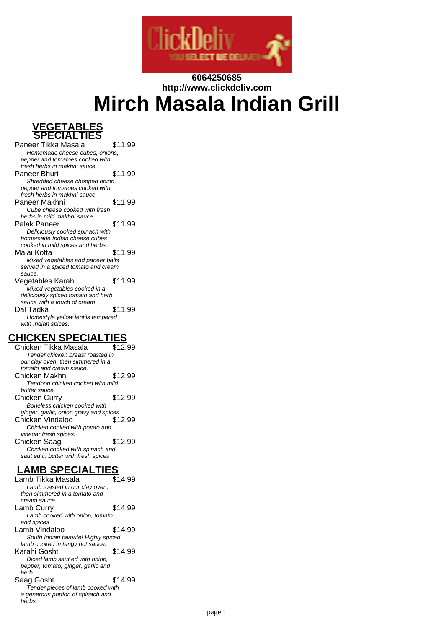

# **6064250685 http://www.clickdeliv.com Mirch Masala Indian Grill**



Paneer Tikka Masala \$11.99 Homemade cheese cubes, onions, pepper and tomatoes cooked with fresh herbs in makhni sauce. Paneer Bhuri \$11.99 Shredded cheese chopped onion, pepper and tomatoes cooked with fresh herbs in makhni sauce. Paneer Makhni \$11.99 Cube cheese cooked with fresh herbs in mild makhni sauce. Palak Paneer \$11.99 Deliciously cooked spinach with homemade Indian cheese cubes cooked in mild spices and herbs. Malai Kofta **\$11.99** Mixed vegetables and paneer balls served in a spiced tomato and cream sauce. Vegetables Karahi  $$11.99$ Mixed vegetables cooked in a deliciously spiced tomato and herb sauce with a touch of cream Dal Tadka \$11.99 Homestyle yellow lentils tempered with Indian spices.

### **CHICKEN SPECIALTIES**

Chicken Tikka Masala \$12.99 Tender chicken breast roasted in our clay oven, then simmered in a tomato and cream sauce. Chicken Makhni \$12.99 Tandoori chicken cooked with mild butter sauce. Chicken Curry \$12.99 Boneless chicken cooked with ginger, garlic, onion gravy and spices Chicken Vindaloo \$12.99 Chicken cooked with potato and vinegar fresh spices. Chicken Saag \$12.99 Chicken cooked with spinach and saut ed in butter with fresh spices

**LAMB SPECIALTIES** Lamb Tikka Masala Lamb roasted in our clay oven, then simmered in a tomato and cream sauce Lamb Curry \$14.99 Lamb cooked with onion, tomato and spices Lamb Vindaloo  $$14.99$ South Indian favorite! Highly spiced lamb cooked in tangy hot sauce. Karahi Gosht \$14.99 Diced lamb saut ed with onion, pepper, tomato, ginger, garlic and herb. Saag Gosht \$14.99 Tender pieces of lamb cooked with a generous portion of spinach and herbs.